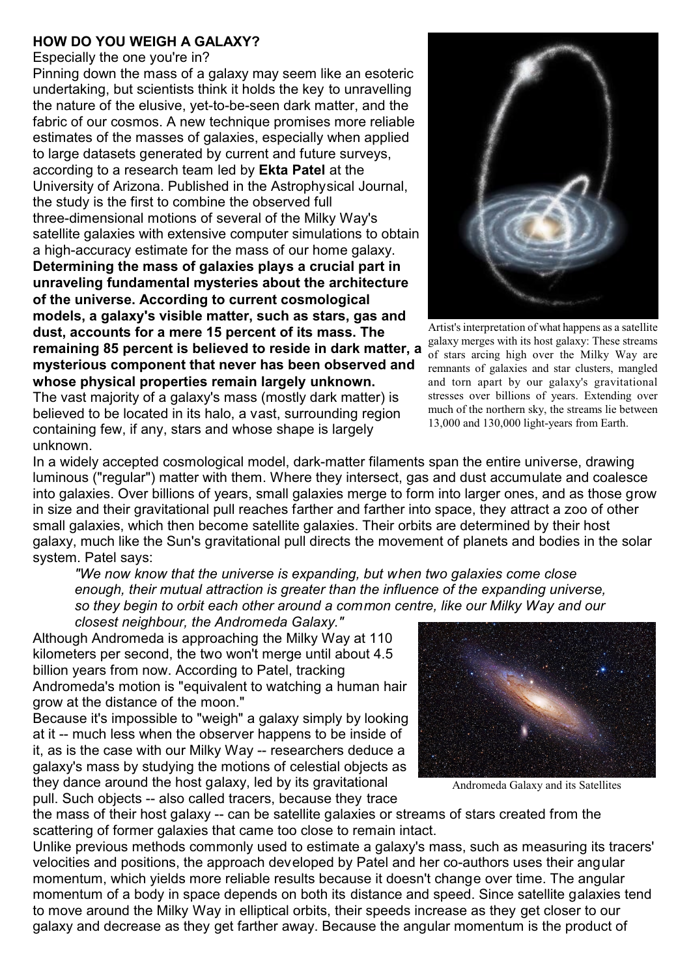## **HOW DO YOU WEIGH A GALAXY?**

Especially the one you're in?

Pinning down the mass of a galaxy may seem like an esoteric undertaking, but scientists think it holds the key to unravelling the nature of the elusive, yet-to-be-seen dark matter, and the fabric of our cosmos. A new technique promises more reliable estimates of the masses of galaxies, especially when applied to large datasets generated by current and future surveys, according to a research team led by **Ekta Patel** at the University of Arizona. Published in the Astrophysical Journal, the study is the first to combine the observed full three-dimensional motions of several of the Milky Way's satellite galaxies with extensive computer simulations to obtain a high-accuracy estimate for the mass of our home galaxy. **Determining the mass of galaxies plays a crucial part in unraveling fundamental mysteries about the architecture of the universe. According to current cosmological models, a galaxy's visible matter, such as stars, gas and dust, accounts for a mere 15 percent of its mass. The remaining 85 percent is believed to reside in dark matter, a mysterious component that never has been observed and whose physical properties remain largely unknown.**  The vast majority of a galaxy's mass (mostly dark matter) is

believed to be located in its halo, a vast, surrounding region containing few, if any, stars and whose shape is largely unknown.



Artist's interpretation of what happens as a satellite galaxy merges with its host galaxy: These streams of stars arcing high over the Milky Way are remnants of galaxies and star clusters, mangled and torn apart by our galaxy's gravitational stresses over billions of years. Extending over much of the northern sky, the streams lie between 13,000 and 130,000 light-years from Earth.

In a widely accepted cosmological model, dark-matter filaments span the entire universe, drawing luminous ("regular") matter with them. Where they intersect, gas and dust accumulate and coalesce into galaxies. Over billions of years, small galaxies merge to form into larger ones, and as those grow in size and their gravitational pull reaches farther and farther into space, they attract a zoo of other small galaxies, which then become satellite galaxies. Their orbits are determined by their host galaxy, much like the Sun's gravitational pull directs the movement of planets and bodies in the solar system. Patel says:

*"We now know that the universe is expanding, but when two galaxies come close enough, their mutual attraction is greater than the influence of the expanding universe, so they begin to orbit each other around a common centre, like our Milky Way and our*

*closest neighbour, the Andromeda Galaxy."* Although Andromeda is approaching the Milky Way at 110 kilometers per second, the two won't merge until about 4.5 billion years from now. According to Patel, tracking Andromeda's motion is "equivalent to watching a human hair grow at the distance of the moon."

Because it's impossible to "weigh" a galaxy simply by looking at it -- much less when the observer happens to be inside of it, as is the case with our Milky Way -- researchers deduce a galaxy's mass by studying the motions of celestial objects as they dance around the host galaxy, led by its gravitational

pull. Such objects -- also called tracers, because they trace



Andromeda Galaxy and its Satellites

the mass of their host galaxy -- can be satellite galaxies or streams of stars created from the scattering of former galaxies that came too close to remain intact.

Unlike previous methods commonly used to estimate a galaxy's mass, such as measuring its tracers' velocities and positions, the approach developed by Patel and her co-authors uses their angular momentum, which yields more reliable results because it doesn't change over time. The angular momentum of a body in space depends on both its distance and speed. Since satellite galaxies tend to move around the Milky Way in elliptical orbits, their speeds increase as they get closer to our galaxy and decrease as they get farther away. Because the angular momentum is the product of